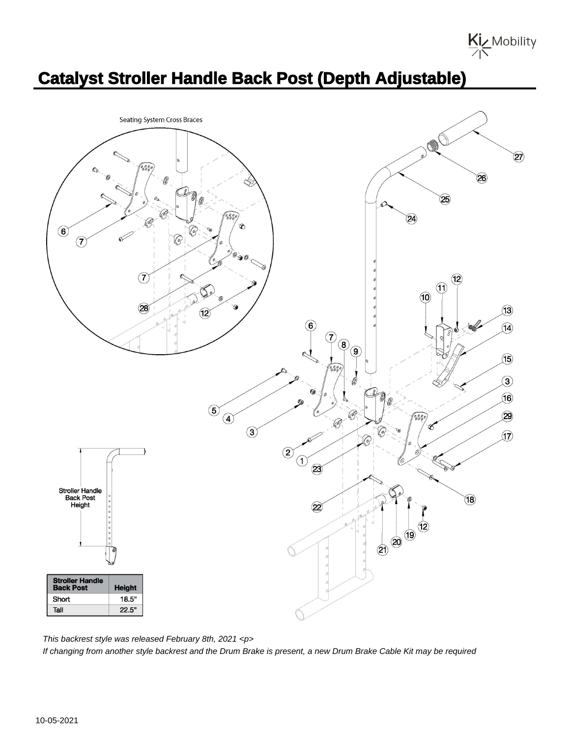Kiz Mobility

## **Catalyst Stroller Handle Back Post (Depth Adjustable)**



This backrest style was released February 8th, 2021 <p> If changing from another style backrest and the Drum Brake is present, a new Drum Brake Cable Kit may be required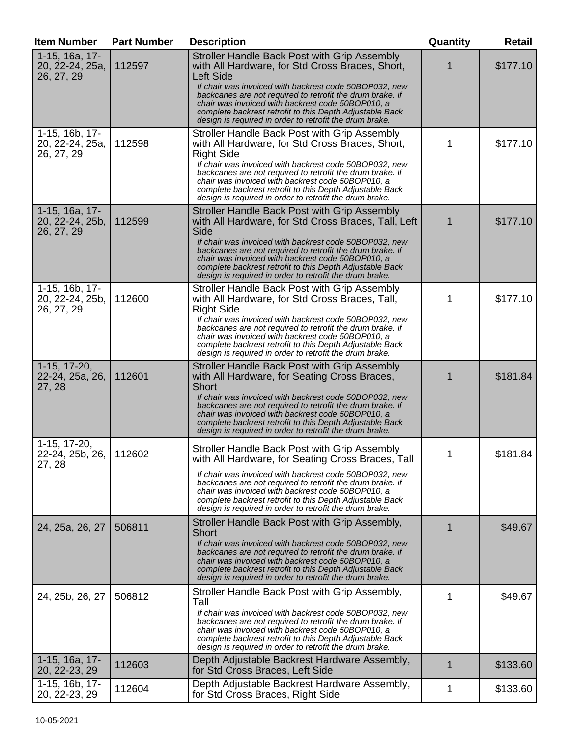| <b>Item Number</b>                              | <b>Part Number</b> | <b>Description</b>                                                                                                                                                                                                                                                                                                                                                                                                      | Quantity | <b>Retail</b> |
|-------------------------------------------------|--------------------|-------------------------------------------------------------------------------------------------------------------------------------------------------------------------------------------------------------------------------------------------------------------------------------------------------------------------------------------------------------------------------------------------------------------------|----------|---------------|
| 1-15, 16a, 17-<br>20, 22-24, 25a,<br>26, 27, 29 | 112597             | Stroller Handle Back Post with Grip Assembly<br>with All Hardware, for Std Cross Braces, Short,<br><b>Left Side</b><br>If chair was invoiced with backrest code 50BOP032, new<br>backcanes are not required to retrofit the drum brake. If<br>chair was invoiced with backrest code 50BOP010, a<br>complete backrest retrofit to this Depth Adjustable Back<br>design is required in order to retrofit the drum brake.  |          | \$177.10      |
| 1-15, 16b, 17-<br>20, 22-24, 25a,<br>26, 27, 29 | 112598             | Stroller Handle Back Post with Grip Assembly<br>with All Hardware, for Std Cross Braces, Short,<br><b>Right Side</b><br>If chair was invoiced with backrest code 50BOP032, new<br>backcanes are not required to retrofit the drum brake. If<br>chair was invoiced with backrest code 50BOP010, a<br>complete backrest retrofit to this Depth Adjustable Back<br>design is required in order to retrofit the drum brake. | 1        | \$177.10      |
| 1-15, 16a, 17-<br>20, 22-24, 25b,<br>26, 27, 29 | 112599             | Stroller Handle Back Post with Grip Assembly<br>with All Hardware, for Std Cross Braces, Tall, Left<br>Side<br>If chair was invoiced with backrest code 50BOP032, new<br>backcanes are not required to retrofit the drum brake. If<br>chair was invoiced with backrest code 50BOP010, a<br>complete backrest retrofit to this Depth Adjustable Back<br>design is required in order to retrofit the drum brake.          | 1        | \$177.10      |
| 1-15, 16b, 17-<br>20, 22-24, 25b,<br>26, 27, 29 | 112600             | Stroller Handle Back Post with Grip Assembly<br>with All Hardware, for Std Cross Braces, Tall,<br><b>Right Side</b><br>If chair was invoiced with backrest code 50BOP032, new<br>backcanes are not required to retrofit the drum brake. If<br>chair was invoiced with backrest code 50BOP010, a<br>complete backrest retrofit to this Depth Adjustable Back<br>design is required in order to retrofit the drum brake.  | 1        | \$177.10      |
| $1-15, 17-20,$<br>22-24, 25a, 26,<br>27, 28     | 112601             | Stroller Handle Back Post with Grip Assembly<br>with All Hardware, for Seating Cross Braces,<br><b>Short</b><br>If chair was invoiced with backrest code 50BOP032, new<br>backcanes are not required to retrofit the drum brake. If<br>chair was invoiced with backrest code 50BOP010, a<br>complete backrest retrofit to this Depth Adjustable Back<br>design is required in order to retrofit the drum brake.         | 1        | \$181.84      |
| 1-15, 17-20,<br>22-24, 25b, 26, I<br>27, 28     | 112602             | Stroller Handle Back Post with Grip Assembly<br>with All Hardware, for Seating Cross Braces, Tall<br>If chair was invoiced with backrest code 50BOP032, new<br>backcanes are not required to retrofit the drum brake. If<br>chair was invoiced with backrest code 50BOP010, a<br>complete backrest retrofit to this Depth Adjustable Back<br>design is required in order to retrofit the drum brake.                    |          | \$181.84      |
| 24, 25a, 26, 27                                 | 506811             | Stroller Handle Back Post with Grip Assembly,<br>Short<br>If chair was invoiced with backrest code 50BOP032, new<br>backcanes are not required to retrofit the drum brake. If<br>chair was invoiced with backrest code 50BOP010, a<br>complete backrest retrofit to this Depth Adjustable Back<br>design is required in order to retrofit the drum brake.                                                               | 1        | \$49.67       |
| 24, 25b, 26, 27                                 | 506812             | Stroller Handle Back Post with Grip Assembly,<br>Tall<br>If chair was invoiced with backrest code 50BOP032, new<br>backcanes are not required to retrofit the drum brake. If<br>chair was invoiced with backrest code 50BOP010, a<br>complete backrest retrofit to this Depth Adjustable Back<br>design is required in order to retrofit the drum brake.                                                                | 1        | \$49.67       |
| 1-15, 16a, 17-<br>20, 22-23, 29                 | 112603             | Depth Adjustable Backrest Hardware Assembly,<br>for Std Cross Braces, Left Side                                                                                                                                                                                                                                                                                                                                         | 1        | \$133.60      |
| 1-15, 16b, 17-<br>20, 22-23, 29                 | 112604             | Depth Adjustable Backrest Hardware Assembly,<br>for Std Cross Braces, Right Side                                                                                                                                                                                                                                                                                                                                        | 1        | \$133.60      |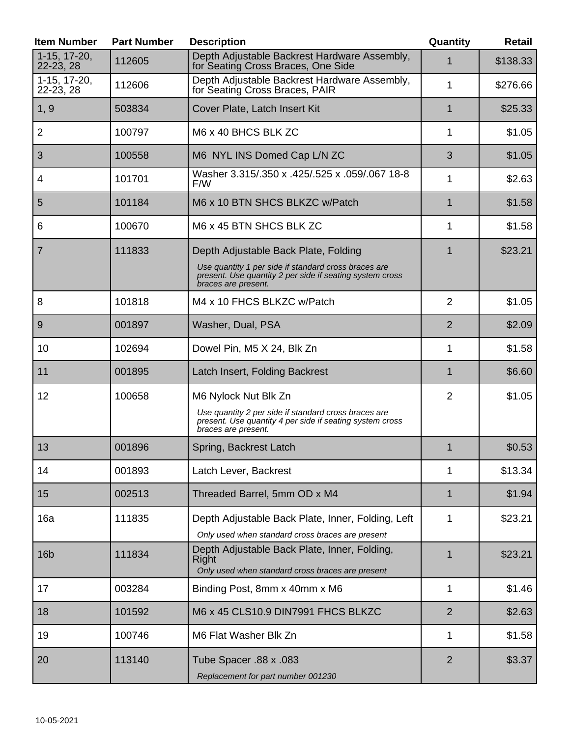| <b>Item Number</b>        | <b>Part Number</b> | <b>Description</b>                                                                                                                      | Quantity       | Retail   |
|---------------------------|--------------------|-----------------------------------------------------------------------------------------------------------------------------------------|----------------|----------|
| 1-15, 17-20,<br>22-23, 28 | 112605             | Depth Adjustable Backrest Hardware Assembly,<br>for Seating Cross Braces, One Side                                                      | 1              | \$138.33 |
| 1-15, 17-20,<br>22-23, 28 | 112606             | Depth Adjustable Backrest Hardware Assembly,<br>for Seating Cross Braces, PAIR                                                          | 1              | \$276.66 |
| 1, 9                      | 503834             | Cover Plate, Latch Insert Kit                                                                                                           | 1              | \$25.33  |
| $\overline{2}$            | 100797             | M6 x 40 BHCS BLK ZC                                                                                                                     | 1              | \$1.05   |
| 3                         | 100558             | M6 NYL INS Domed Cap L/N ZC                                                                                                             | 3              | \$1.05   |
| 4                         | 101701             | Washer 3.315/.350 x .425/.525 x .059/.067 18-8<br>F/W                                                                                   | 1              | \$2.63   |
| 5                         | 101184             | M6 x 10 BTN SHCS BLKZC w/Patch                                                                                                          | $\mathbf{1}$   | \$1.58   |
| 6                         | 100670             | M6 x 45 BTN SHCS BLK ZC                                                                                                                 | 1              | \$1.58   |
| 7                         | 111833             | Depth Adjustable Back Plate, Folding                                                                                                    | 1              | \$23.21  |
|                           |                    | Use quantity 1 per side if standard cross braces are<br>present. Use quantity 2 per side if seating system cross<br>braces are present. |                |          |
| 8                         | 101818             | M4 x 10 FHCS BLKZC w/Patch                                                                                                              | $\overline{2}$ | \$1.05   |
| 9                         | 001897             | Washer, Dual, PSA                                                                                                                       | 2              | \$2.09   |
| 10                        | 102694             | Dowel Pin, M5 X 24, Blk Zn                                                                                                              | 1              | \$1.58   |
| 11                        | 001895             | Latch Insert, Folding Backrest                                                                                                          | 1              | \$6.60   |
| 12                        | 100658             | M6 Nylock Nut Blk Zn                                                                                                                    | $\overline{2}$ | \$1.05   |
|                           |                    | Use quantity 2 per side if standard cross braces are<br>present. Use quantity 4 per side if seating system cross<br>braces are present. |                |          |
| 13                        | 001896             | Spring, Backrest Latch                                                                                                                  | 1              | \$0.53   |
| 14                        | 001893             | Latch Lever, Backrest                                                                                                                   | 1              | \$13.34  |
| 15                        | 002513             | Threaded Barrel, 5mm OD x M4                                                                                                            | 1              | \$1.94   |
| 16a                       | 111835             | Depth Adjustable Back Plate, Inner, Folding, Left                                                                                       | 1              | \$23.21  |
|                           |                    | Only used when standard cross braces are present                                                                                        |                |          |
| 16 <sub>b</sub>           | 111834             | Depth Adjustable Back Plate, Inner, Folding,<br>Right<br>Only used when standard cross braces are present                               | $\mathbf 1$    | \$23.21  |
| 17                        | 003284             | Binding Post, 8mm x 40mm x M6                                                                                                           | 1              | \$1.46   |
| 18                        | 101592             | M6 x 45 CLS10.9 DIN7991 FHCS BLKZC                                                                                                      | $\overline{2}$ | \$2.63   |
| 19                        | 100746             | M6 Flat Washer Blk Zn                                                                                                                   | 1              | \$1.58   |
| 20                        | 113140             | Tube Spacer .88 x .083<br>Replacement for part number 001230                                                                            | $\overline{2}$ | \$3.37   |